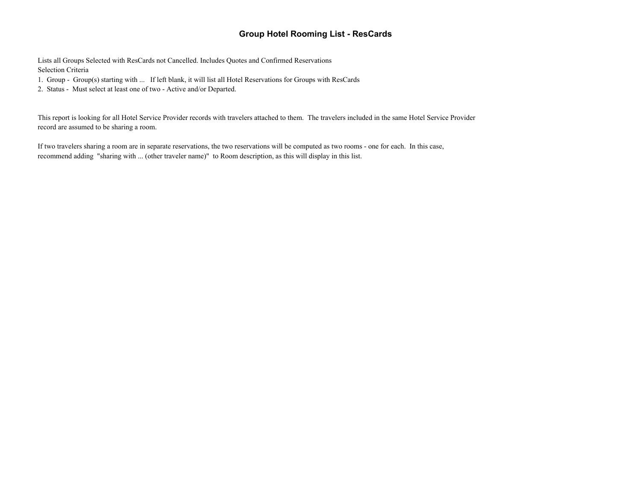## **Group Hotel Rooming List - ResCards**

Lists all Groups Selected with ResCards not Cancelled. Includes Quotes and Confirmed Reservations Selection Criteria

- 1. Group Group(s) starting with ... If left blank, it will list all Hotel Reservations for Groups with ResCards
- 2. Status Must select at least one of two Active and/or Departed.

This report is looking for all Hotel Service Provider records with travelers attached to them. The travelers included in the same Hotel Service Provider record are assumed to be sharing a room.

If two travelers sharing a room are in separate reservations, the two reservations will be computed as two rooms - one for each. In this case, recommend adding "sharing with ... (other traveler name)" to Room description, as this will display in this list.